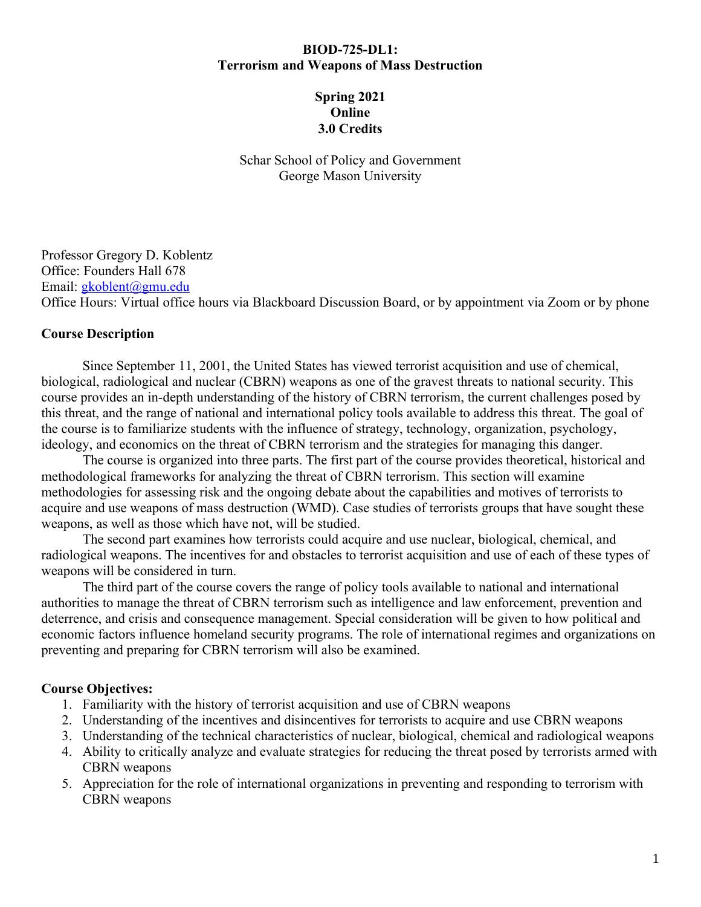#### **BIOD-725-DL1: Terrorism and Weapons of Mass Destruction**

### **Spring 2021 Online 3.0 Credits**

Schar School of Policy and Government George Mason University

Professor Gregory D. Koblentz Office: Founders Hall 678 Email: [gkoblent@gmu.edu](mailto:gkoblent@gmu.edu) Office Hours: Virtual office hours via Blackboard Discussion Board, or by appointment via Zoom or by phone

#### **Course Description**

Since September 11, 2001, the United States has viewed terrorist acquisition and use of chemical, biological, radiological and nuclear (CBRN) weapons as one of the gravest threats to national security. This course provides an in-depth understanding of the history of CBRN terrorism, the current challenges posed by this threat, and the range of national and international policy tools available to address this threat. The goal of the course is to familiarize students with the influence of strategy, technology, organization, psychology, ideology, and economics on the threat of CBRN terrorism and the strategies for managing this danger.

The course is organized into three parts. The first part of the course provides theoretical, historical and methodological frameworks for analyzing the threat of CBRN terrorism. This section will examine methodologies for assessing risk and the ongoing debate about the capabilities and motives of terrorists to acquire and use weapons of mass destruction (WMD). Case studies of terrorists groups that have sought these weapons, as well as those which have not, will be studied.

The second part examines how terrorists could acquire and use nuclear, biological, chemical, and radiological weapons. The incentives for and obstacles to terrorist acquisition and use of each of these types of weapons will be considered in turn.

The third part of the course covers the range of policy tools available to national and international authorities to manage the threat of CBRN terrorism such as intelligence and law enforcement, prevention and deterrence, and crisis and consequence management. Special consideration will be given to how political and economic factors influence homeland security programs. The role of international regimes and organizations on preventing and preparing for CBRN terrorism will also be examined.

#### **Course Objectives:**

- 1. Familiarity with the history of terrorist acquisition and use of CBRN weapons
- 2. Understanding of the incentives and disincentives for terrorists to acquire and use CBRN weapons
- 3. Understanding of the technical characteristics of nuclear, biological, chemical and radiological weapons
- 4. Ability to critically analyze and evaluate strategies for reducing the threat posed by terrorists armed with CBRN weapons
- 5. Appreciation for the role of international organizations in preventing and responding to terrorism with CBRN weapons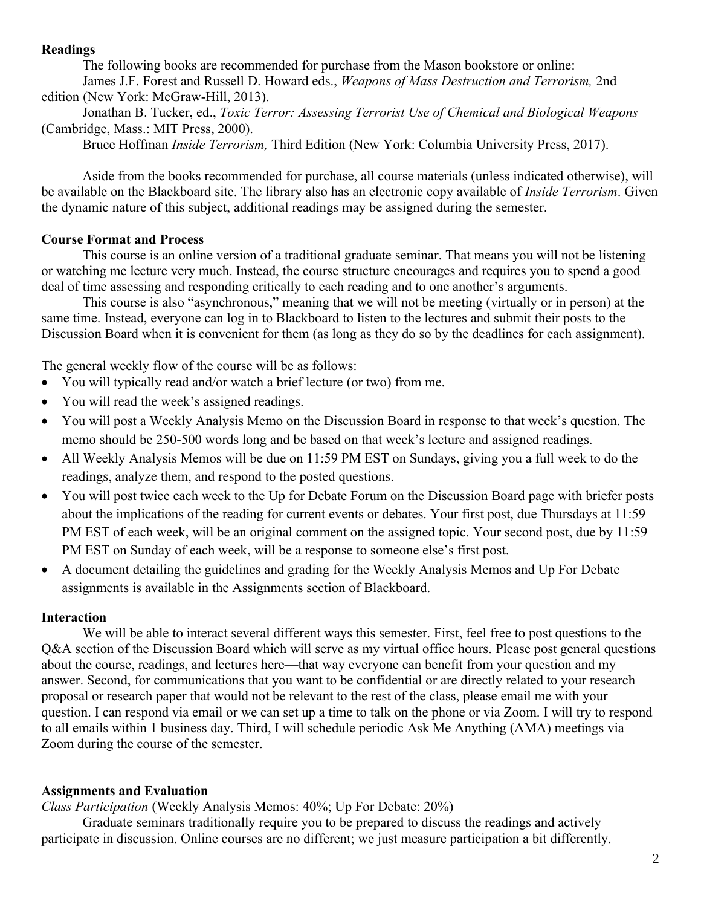#### **Readings**

The following books are recommended for purchase from the Mason bookstore or online: James J.F. Forest and Russell D. Howard eds., *Weapons of Mass Destruction and Terrorism,* 2nd edition (New York: McGraw-Hill, 2013).

Jonathan B. Tucker, ed., *Toxic Terror: Assessing Terrorist Use of Chemical and Biological Weapons* (Cambridge, Mass.: MIT Press, 2000).

Bruce Hoffman *Inside Terrorism,* Third Edition (New York: Columbia University Press, 2017).

Aside from the books recommended for purchase, all course materials (unless indicated otherwise), will be available on the Blackboard site. The library also has an electronic copy available of *Inside Terrorism*. Given the dynamic nature of this subject, additional readings may be assigned during the semester.

#### **Course Format and Process**

This course is an online version of a traditional graduate seminar. That means you will not be listening or watching me lecture very much. Instead, the course structure encourages and requires you to spend a good deal of time assessing and responding critically to each reading and to one another's arguments.

This course is also "asynchronous," meaning that we will not be meeting (virtually or in person) at the same time. Instead, everyone can log in to Blackboard to listen to the lectures and submit their posts to the Discussion Board when it is convenient for them (as long as they do so by the deadlines for each assignment).

The general weekly flow of the course will be as follows:

- You will typically read and/or watch a brief lecture (or two) from me.
- You will read the week's assigned readings.
- You will post a Weekly Analysis Memo on the Discussion Board in response to that week's question. The memo should be 250-500 words long and be based on that week's lecture and assigned readings.
- All Weekly Analysis Memos will be due on 11:59 PM EST on Sundays, giving you a full week to do the readings, analyze them, and respond to the posted questions.
- You will post twice each week to the Up for Debate Forum on the Discussion Board page with briefer posts about the implications of the reading for current events or debates. Your first post, due Thursdays at 11:59 PM EST of each week, will be an original comment on the assigned topic. Your second post, due by 11:59 PM EST on Sunday of each week, will be a response to someone else's first post.
- A document detailing the guidelines and grading for the Weekly Analysis Memos and Up For Debate assignments is available in the Assignments section of Blackboard.

#### **Interaction**

We will be able to interact several different ways this semester. First, feel free to post questions to the Q&A section of the Discussion Board which will serve as my virtual office hours. Please post general questions about the course, readings, and lectures here—that way everyone can benefit from your question and my answer. Second, for communications that you want to be confidential or are directly related to your research proposal or research paper that would not be relevant to the rest of the class, please email me with your question. I can respond via email or we can set up a time to talk on the phone or via Zoom. I will try to respond to all emails within 1 business day. Third, I will schedule periodic Ask Me Anything (AMA) meetings via Zoom during the course of the semester.

#### **Assignments and Evaluation**

*Class Participation* (Weekly Analysis Memos: 40%; Up For Debate: 20%)

Graduate seminars traditionally require you to be prepared to discuss the readings and actively participate in discussion. Online courses are no different; we just measure participation a bit differently.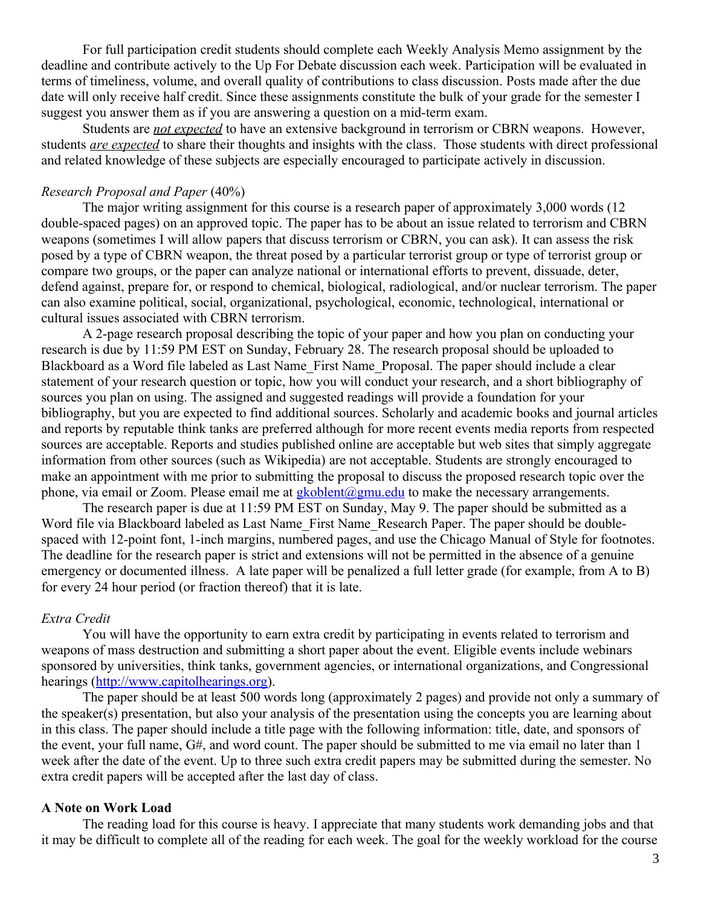For full participation credit students should complete each Weekly Analysis Memo assignment by the deadline and contribute actively to the Up For Debate discussion each week. Participation will be evaluated in terms of timeliness, volume, and overall quality of contributions to class discussion. Posts made after the due date will only receive half credit. Since these assignments constitute the bulk of your grade for the semester I suggest you answer them as if you are answering a question on a mid-term exam.

Students are *not expected* to have an extensive background in terrorism or CBRN weapons. However, students *are expected* to share their thoughts and insights with the class. Those students with direct professional and related knowledge of these subjects are especially encouraged to participate actively in discussion.

#### *Research Proposal and Paper* (40%)

The major writing assignment for this course is a research paper of approximately 3,000 words (12 double-spaced pages) on an approved topic. The paper has to be about an issue related to terrorism and CBRN weapons (sometimes I will allow papers that discuss terrorism or CBRN, you can ask). It can assess the risk posed by a type of CBRN weapon, the threat posed by a particular terrorist group or type of terrorist group or compare two groups, or the paper can analyze national or international efforts to prevent, dissuade, deter, defend against, prepare for, or respond to chemical, biological, radiological, and/or nuclear terrorism. The paper can also examine political, social, organizational, psychological, economic, technological, international or cultural issues associated with CBRN terrorism.

A 2-page research proposal describing the topic of your paper and how you plan on conducting your research is due by 11:59 PM EST on Sunday, February 28. The research proposal should be uploaded to Blackboard as a Word file labeled as Last Name\_First Name\_Proposal. The paper should include a clear statement of your research question or topic, how you will conduct your research, and a short bibliography of sources you plan on using. The assigned and suggested readings will provide a foundation for your bibliography, but you are expected to find additional sources. Scholarly and academic books and journal articles and reports by reputable think tanks are preferred although for more recent events media reports from respected sources are acceptable. Reports and studies published online are acceptable but web sites that simply aggregate information from other sources (such as Wikipedia) are not acceptable. Students are strongly encouraged to make an appointment with me prior to submitting the proposal to discuss the proposed research topic over the phone, via email or Zoom. Please email me at  $gkoblent@gmu.edu$  to make the necessary arrangements.

The research paper is due at 11:59 PM EST on Sunday, May 9. The paper should be submitted as a Word file via Blackboard labeled as Last Name First Name Research Paper. The paper should be doublespaced with 12-point font, 1-inch margins, numbered pages, and use the Chicago Manual of Style for footnotes. The deadline for the research paper is strict and extensions will not be permitted in the absence of a genuine emergency or documented illness. A late paper will be penalized a full letter grade (for example, from A to B) for every 24 hour period (or fraction thereof) that it is late.

#### *Extra Credit*

You will have the opportunity to earn extra credit by participating in events related to terrorism and weapons of mass destruction and submitting a short paper about the event. Eligible events include webinars sponsored by universities, think tanks, government agencies, or international organizations, and Congressional hearings ([http://www.capitolhearings.org\)](http://www.capitolhearings.org/).

The paper should be at least 500 words long (approximately 2 pages) and provide not only a summary of the speaker(s) presentation, but also your analysis of the presentation using the concepts you are learning about in this class. The paper should include a title page with the following information: title, date, and sponsors of the event, your full name, G#, and word count. The paper should be submitted to me via email no later than 1 week after the date of the event. Up to three such extra credit papers may be submitted during the semester. No extra credit papers will be accepted after the last day of class.

#### **A Note on Work Load**

The reading load for this course is heavy. I appreciate that many students work demanding jobs and that it may be difficult to complete all of the reading for each week. The goal for the weekly workload for the course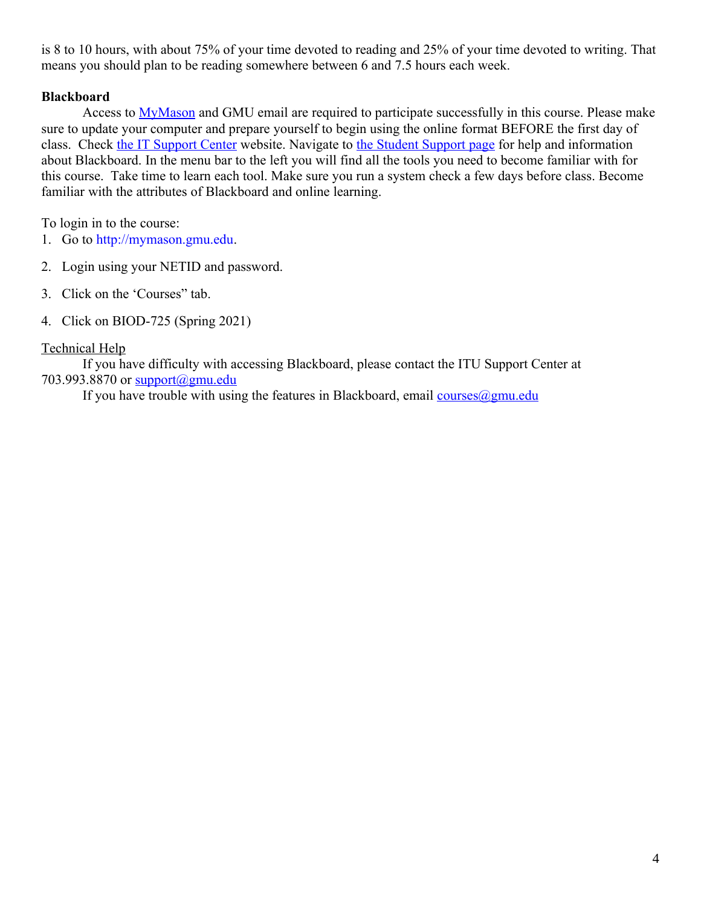is 8 to 10 hours, with about 75% of your time devoted to reading and 25% of your time devoted to writing. That means you should plan to be reading somewhere between 6 and 7.5 hours each week.

### **Blackboard**

Access to **MyMason** and GMU email are required to participate successfully in this course. Please make sure to update your computer and prepare yourself to begin using the online format BEFORE the first day of class. Check [the IT Support Center](http://itservices.gmu.edu/) website. Navigate to [the Student Support page](https://coursessupport.gmu.edu/Students/) for help and information about Blackboard. In the menu bar to the left you will find all the tools you need to become familiar with for this course. Take time to learn each tool. Make sure you run a system check a few days before class. Become familiar with the attributes of Blackboard and online learning.

To login in to the course:

- 1. Go to [http://mymason.gmu.edu](http://mymason.gmu.edu/).
- 2. Login using your NETID and password.
- 3. Click on the 'Courses" tab.
- 4. Click on BIOD-725 (Spring 2021)

### Technical Help

If you have difficulty with accessing Blackboard, please contact the ITU Support Center at 703.993.8870 or [support@gmu.edu](mailto:support@gmu.edu)

If you have trouble with using the features in Blackboard, email courses  $\omega$ gmu.edu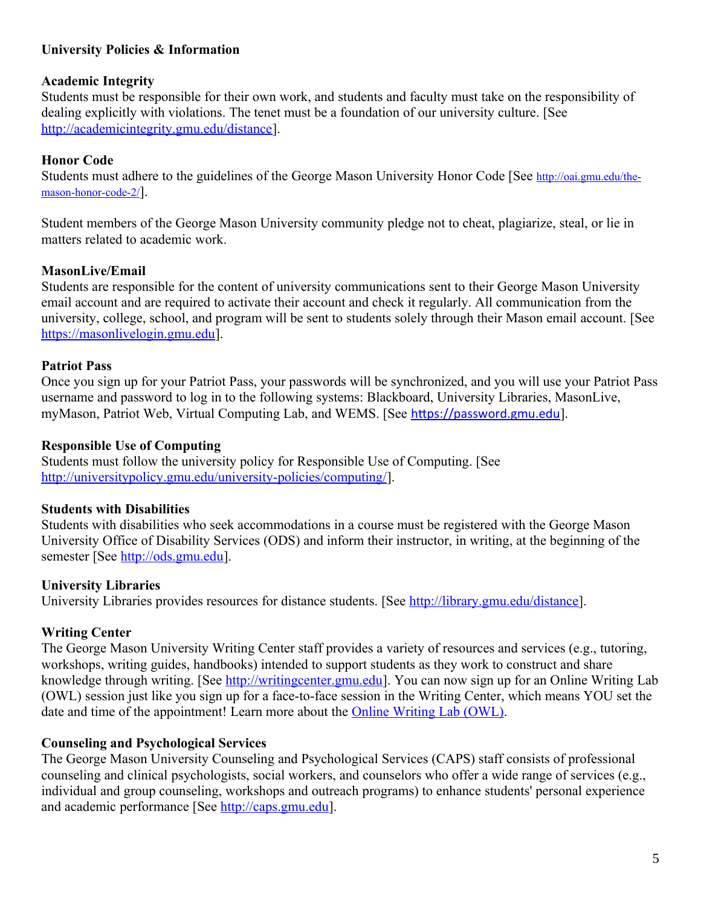## **University Policies & Information**

#### **Academic Integrity**

Students must be responsible for their own work, and students and faculty must take on the responsibility of dealing explicitly with violations. The tenet must be a foundation of our university culture. [See <http://academicintegrity.gmu.edu/distance>].

## **Honor Code**

Students must adhere to the guidelines of the George Mason University Honor Code [See [http://oai.gmu.edu/the](http://oai.gmu.edu/the-mason-honor-code-2/)[mason-honor-code-2/](http://oai.gmu.edu/the-mason-honor-code-2/)].

Student members of the George Mason University community pledge not to cheat, plagiarize, steal, or lie in matters related to academic work.

### **MasonLive/Email**

Students are responsible for the content of university communications sent to their George Mason University email account and are required to activate their account and check it regularly. All communication from the university, college, school, and program will be sent to students solely through their Mason email account. [See [https://masonlivelogin.gmu.edu](https://masonlivelogin.gmu.edu/)].

### **Patriot Pass**

Once you sign up for your Patriot Pass, your passwords will be synchronized, and you will use your Patriot Pass username and password to log in to the following systems: Blackboard, University Libraries, MasonLive, myMason, Patriot Web, Virtual Computing Lab, and WEMS. [See [https://password.gmu.edu](https://password.gmu.edu/)].

### **Responsible Use of Computing**

Students must follow the university policy for Responsible Use of Computing. [See <http://universitypolicy.gmu.edu/university-policies/computing/>].

## **Students with Disabilities**

Students with disabilities who seek accommodations in a course must be registered with the George Mason University Office of Disability Services (ODS) and inform their instructor, in writing, at the beginning of the semester [See [http://ods.gmu.edu](http://ods.gmu.edu/)].

## **University Libraries**

University Libraries provides resources for distance students. [See [http://library.gmu.edu/distance\]](http://library.gmu.edu/distance).

## **Writing Center**

The George Mason University Writing Center staff provides a variety of resources and services (e.g., tutoring, workshops, writing guides, handbooks) intended to support students as they work to construct and share knowledge through writing. [See [http://writingcenter.gmu.edu](http://writingcenter.gmu.edu/)]. You can now sign up for an Online Writing Lab (OWL) session just like you sign up for a face-to-face session in the Writing Center, which means YOU set the date and time of the appointment! Learn more about the **Online Writing Lab (OWL)**.

## **Counseling and Psychological Services**

The George Mason University Counseling and Psychological Services (CAPS) staff consists of professional counseling and clinical psychologists, social workers, and counselors who offer a wide range of services (e.g., individual and group counseling, workshops and outreach programs) to enhance students' personal experience and academic performance [See [http://caps.gmu.edu](http://caps.gmu.edu/)].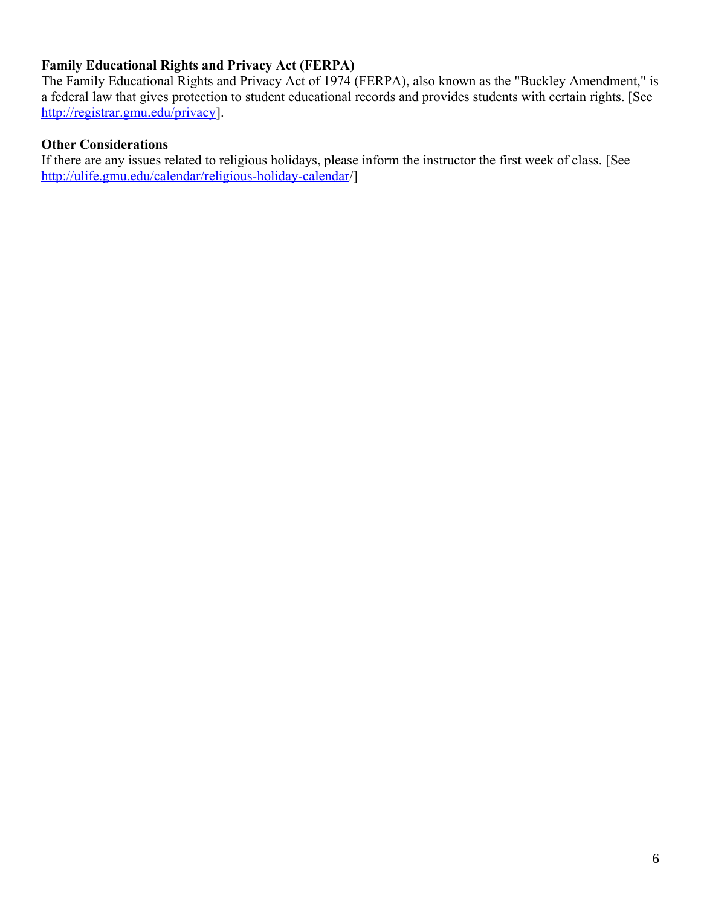# **Family Educational Rights and Privacy Act (FERPA)**

The Family Educational Rights and Privacy Act of 1974 (FERPA), also known as the "Buckley Amendment," is a federal law that gives protection to student educational records and provides students with certain rights. [See [http://registrar.gmu.edu/privacy\]](http://registrar.gmu.edu/privacy).

## **Other Considerations**

If there are any issues related to religious holidays, please inform the instructor the first week of class. [See <http://ulife.gmu.edu/calendar/religious-holiday-calendar>/]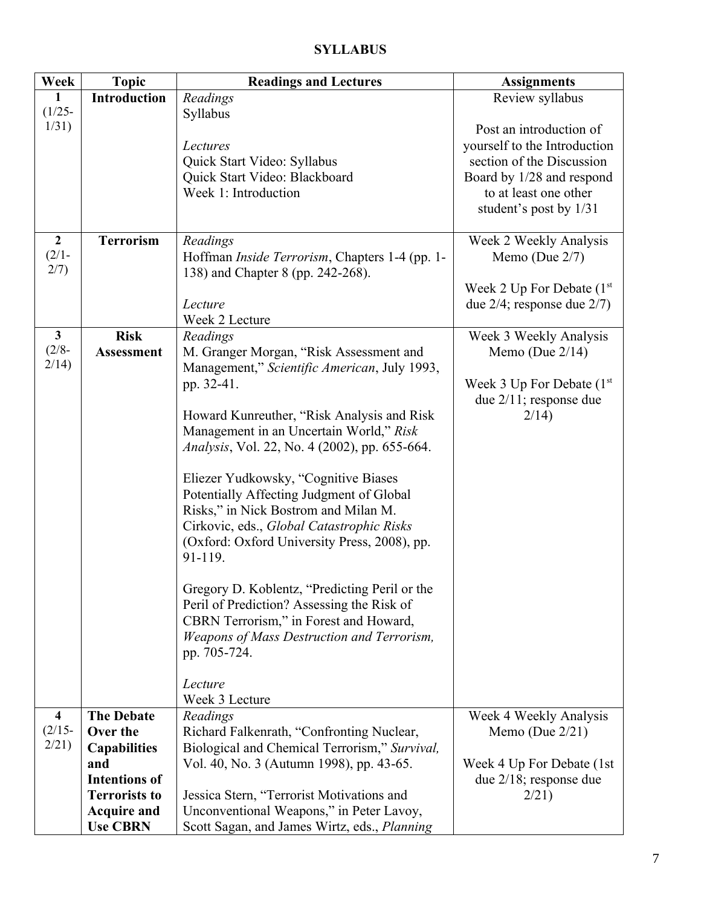| Week                    | <b>Topic</b>         | <b>Readings and Lectures</b>                           | <b>Assignments</b>                        |
|-------------------------|----------------------|--------------------------------------------------------|-------------------------------------------|
| 1                       | <b>Introduction</b>  | Readings                                               | Review syllabus                           |
| $(1/25 -$               |                      | Syllabus                                               |                                           |
| 1/31)                   |                      |                                                        | Post an introduction of                   |
|                         |                      | Lectures                                               | yourself to the Introduction              |
|                         |                      | Quick Start Video: Syllabus                            | section of the Discussion                 |
|                         |                      | Quick Start Video: Blackboard                          | Board by 1/28 and respond                 |
|                         |                      | Week 1: Introduction                                   | to at least one other                     |
|                         |                      |                                                        | student's post by 1/31                    |
|                         |                      |                                                        |                                           |
| $\overline{2}$          | <b>Terrorism</b>     | Readings                                               | Week 2 Weekly Analysis                    |
| $(2/1 -$<br>2/7)        |                      | Hoffman <i>Inside Terrorism</i> , Chapters 1-4 (pp. 1- | Memo (Due $2/7$ )                         |
|                         |                      | 138) and Chapter 8 (pp. 242-268).                      |                                           |
|                         |                      |                                                        | Week 2 Up For Debate $(1st$               |
|                         |                      | Lecture<br>Week 2 Lecture                              | due $2/4$ ; response due $2/7$ )          |
| $\mathbf{3}$            | <b>Risk</b>          |                                                        |                                           |
| $(2/8 -$                | <b>Assessment</b>    | Readings<br>M. Granger Morgan, "Risk Assessment and    | Week 3 Weekly Analysis<br>Memo (Due 2/14) |
| 2/14)                   |                      | Management," Scientific American, July 1993,           |                                           |
|                         |                      | pp. 32-41.                                             | Week 3 Up For Debate $(1st$               |
|                         |                      |                                                        | due $2/11$ ; response due                 |
|                         |                      | Howard Kunreuther, "Risk Analysis and Risk             | 2/14                                      |
|                         |                      | Management in an Uncertain World," Risk                |                                           |
|                         |                      | <i>Analysis</i> , Vol. 22, No. 4 (2002), pp. 655-664.  |                                           |
|                         |                      |                                                        |                                           |
|                         |                      | Eliezer Yudkowsky, "Cognitive Biases                   |                                           |
|                         |                      | Potentially Affecting Judgment of Global               |                                           |
|                         |                      | Risks," in Nick Bostrom and Milan M.                   |                                           |
|                         |                      | Cirkovic, eds., Global Catastrophic Risks              |                                           |
|                         |                      | (Oxford: Oxford University Press, 2008), pp.           |                                           |
|                         |                      | 91-119.                                                |                                           |
|                         |                      |                                                        |                                           |
|                         |                      | Gregory D. Koblentz, "Predicting Peril or the          |                                           |
|                         |                      | Peril of Prediction? Assessing the Risk of             |                                           |
|                         |                      | CBRN Terrorism," in Forest and Howard,                 |                                           |
|                         |                      | Weapons of Mass Destruction and Terrorism,             |                                           |
|                         |                      | pp. 705-724.                                           |                                           |
|                         |                      |                                                        |                                           |
|                         |                      | Lecture                                                |                                           |
|                         |                      | Week 3 Lecture                                         |                                           |
| $\overline{\mathbf{4}}$ | <b>The Debate</b>    | Readings                                               | Week 4 Weekly Analysis                    |
| $(2/15 -$               | Over the             | Richard Falkenrath, "Confronting Nuclear,              | Memo (Due $2/21$ )                        |
| 2/21                    | <b>Capabilities</b>  | Biological and Chemical Terrorism," Survival,          |                                           |
|                         | and                  | Vol. 40, No. 3 (Autumn 1998), pp. 43-65.               | Week 4 Up For Debate (1st)                |
|                         | <b>Intentions of</b> |                                                        | due $2/18$ ; response due                 |
|                         | <b>Terrorists to</b> | Jessica Stern, "Terrorist Motivations and              | 2/21)                                     |
|                         | <b>Acquire and</b>   | Unconventional Weapons," in Peter Lavoy,               |                                           |
|                         | <b>Use CBRN</b>      | Scott Sagan, and James Wirtz, eds., Planning           |                                           |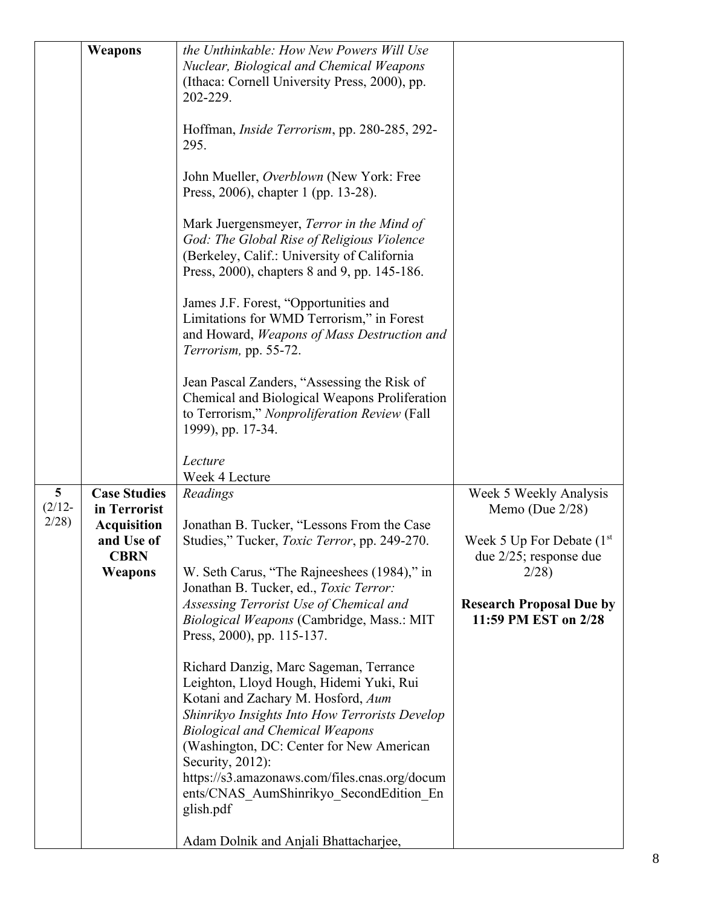|                                      | Weapons                                                                                           | the Unthinkable: How New Powers Will Use<br>Nuclear, Biological and Chemical Weapons<br>(Ithaca: Cornell University Press, 2000), pp.<br>202-229.<br>Hoffman, <i>Inside Terrorism</i> , pp. 280-285, 292-<br>295.<br>John Mueller, Overblown (New York: Free<br>Press, 2006), chapter 1 (pp. 13-28).<br>Mark Juergensmeyer, Terror in the Mind of<br>God: The Global Rise of Religious Violence<br>(Berkeley, Calif.: University of California<br>Press, 2000), chapters 8 and 9, pp. 145-186.<br>James J.F. Forest, "Opportunities and<br>Limitations for WMD Terrorism," in Forest<br>and Howard, Weapons of Mass Destruction and<br>Terrorism, pp. 55-72.<br>Jean Pascal Zanders, "Assessing the Risk of<br>Chemical and Biological Weapons Proliferation<br>to Terrorism," Nonproliferation Review (Fall<br>1999), pp. 17-34. |                                                                                                                                                                             |
|--------------------------------------|---------------------------------------------------------------------------------------------------|-----------------------------------------------------------------------------------------------------------------------------------------------------------------------------------------------------------------------------------------------------------------------------------------------------------------------------------------------------------------------------------------------------------------------------------------------------------------------------------------------------------------------------------------------------------------------------------------------------------------------------------------------------------------------------------------------------------------------------------------------------------------------------------------------------------------------------------|-----------------------------------------------------------------------------------------------------------------------------------------------------------------------------|
|                                      |                                                                                                   | Lecture<br>Week 4 Lecture                                                                                                                                                                                                                                                                                                                                                                                                                                                                                                                                                                                                                                                                                                                                                                                                         |                                                                                                                                                                             |
| $5\phantom{.0}$<br>$(2/12 -$<br>2/28 | <b>Case Studies</b><br>in Terrorist<br><b>Acquisition</b><br>and Use of<br><b>CBRN</b><br>Weapons | Readings<br>Jonathan B. Tucker, "Lessons From the Case<br>Studies," Tucker, Toxic Terror, pp. 249-270.<br>W. Seth Carus, "The Rajneeshees (1984)," in<br>Jonathan B. Tucker, ed., Toxic Terror:<br>Assessing Terrorist Use of Chemical and<br>Biological Weapons (Cambridge, Mass.: MIT<br>Press, 2000), pp. 115-137.<br>Richard Danzig, Marc Sageman, Terrance<br>Leighton, Lloyd Hough, Hidemi Yuki, Rui<br>Kotani and Zachary M. Hosford, Aum<br>Shinrikyo Insights Into How Terrorists Develop<br><b>Biological and Chemical Weapons</b><br>(Washington, DC: Center for New American<br>Security, 2012):<br>https://s3.amazonaws.com/files.cnas.org/docum<br>ents/CNAS AumShinrikyo SecondEdition En<br>glish.pdf<br>Adam Dolnik and Anjali Bhattacharjee,                                                                    | Week 5 Weekly Analysis<br>Memo (Due $2/28$ )<br>Week 5 Up For Debate $(1st$<br>due $2/25$ ; response due<br>2/28<br><b>Research Proposal Due by</b><br>11:59 PM EST on 2/28 |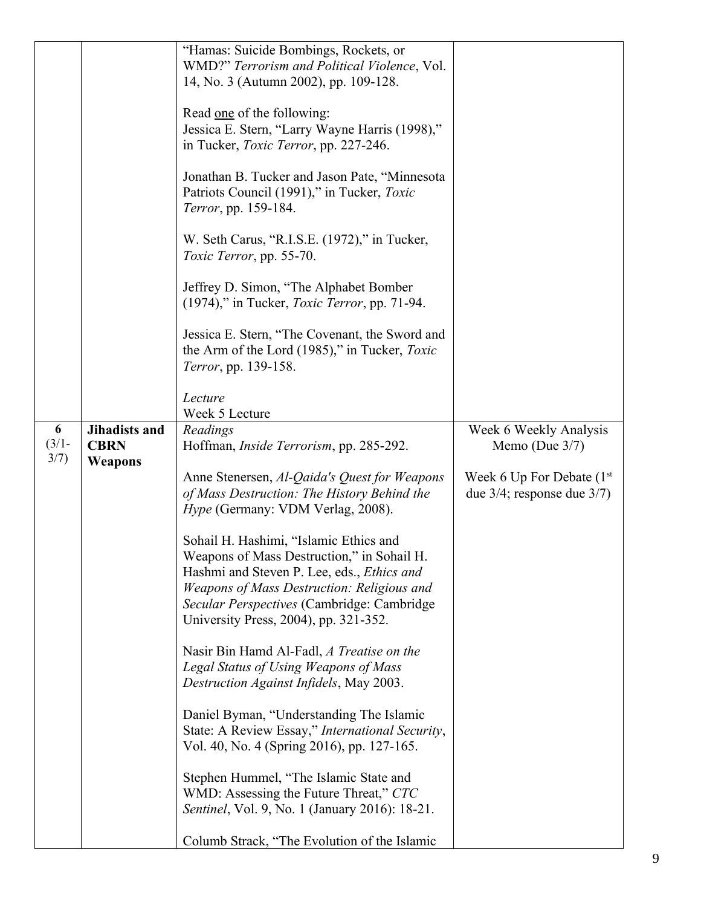|          |                      | "Hamas: Suicide Bombings, Rockets, or                                                           |                                  |
|----------|----------------------|-------------------------------------------------------------------------------------------------|----------------------------------|
|          |                      | WMD?" Terrorism and Political Violence, Vol.                                                    |                                  |
|          |                      | 14, No. 3 (Autumn 2002), pp. 109-128.                                                           |                                  |
|          |                      |                                                                                                 |                                  |
|          |                      | Read one of the following:                                                                      |                                  |
|          |                      | Jessica E. Stern, "Larry Wayne Harris (1998),"                                                  |                                  |
|          |                      | in Tucker, <i>Toxic Terror</i> , pp. 227-246.                                                   |                                  |
|          |                      |                                                                                                 |                                  |
|          |                      | Jonathan B. Tucker and Jason Pate, "Minnesota                                                   |                                  |
|          |                      | Patriots Council (1991)," in Tucker, Toxic                                                      |                                  |
|          |                      | Terror, pp. 159-184.                                                                            |                                  |
|          |                      |                                                                                                 |                                  |
|          |                      | W. Seth Carus, "R.I.S.E. (1972)," in Tucker,                                                    |                                  |
|          |                      | Toxic Terror, pp. 55-70.                                                                        |                                  |
|          |                      |                                                                                                 |                                  |
|          |                      | Jeffrey D. Simon, "The Alphabet Bomber                                                          |                                  |
|          |                      | (1974)," in Tucker, <i>Toxic Terror</i> , pp. 71-94.                                            |                                  |
|          |                      |                                                                                                 |                                  |
|          |                      | Jessica E. Stern, "The Covenant, the Sword and<br>the Arm of the Lord (1985)," in Tucker, Toxic |                                  |
|          |                      |                                                                                                 |                                  |
|          |                      | Terror, pp. 139-158.                                                                            |                                  |
|          |                      | Lecture                                                                                         |                                  |
|          |                      | Week 5 Lecture                                                                                  |                                  |
| 6        | <b>Jihadists and</b> | Readings                                                                                        | Week 6 Weekly Analysis           |
| $(3/1 -$ | <b>CBRN</b>          | Hoffman, <i>Inside Terrorism</i> , pp. 285-292.                                                 | Memo (Due $3/7$ )                |
| 3/7)     | Weapons              |                                                                                                 |                                  |
|          |                      | Anne Stenersen, Al-Qaida's Quest for Weapons                                                    | Week 6 Up For Debate $(1st)$     |
|          |                      | of Mass Destruction: The History Behind the                                                     | due $3/4$ ; response due $3/7$ ) |
|          |                      | <i>Hype</i> (Germany: VDM Verlag, 2008).                                                        |                                  |
|          |                      |                                                                                                 |                                  |
|          |                      | Sohail H. Hashimi, "Islamic Ethics and                                                          |                                  |
|          |                      | Weapons of Mass Destruction," in Sohail H.                                                      |                                  |
|          |                      | Hashmi and Steven P. Lee, eds., <i>Ethics and</i>                                               |                                  |
|          |                      | Weapons of Mass Destruction: Religious and                                                      |                                  |
|          |                      | Secular Perspectives (Cambridge: Cambridge                                                      |                                  |
|          |                      | University Press, 2004), pp. 321-352.                                                           |                                  |
|          |                      |                                                                                                 |                                  |
|          |                      | Nasir Bin Hamd Al-Fadl, A Treatise on the                                                       |                                  |
|          |                      | Legal Status of Using Weapons of Mass                                                           |                                  |
|          |                      | Destruction Against Infidels, May 2003.                                                         |                                  |
|          |                      |                                                                                                 |                                  |
|          |                      | Daniel Byman, "Understanding The Islamic                                                        |                                  |
|          |                      | State: A Review Essay," International Security,                                                 |                                  |
|          |                      | Vol. 40, No. 4 (Spring 2016), pp. 127-165.                                                      |                                  |
|          |                      |                                                                                                 |                                  |
|          |                      | Stephen Hummel, "The Islamic State and                                                          |                                  |
|          |                      | WMD: Assessing the Future Threat," CTC                                                          |                                  |
|          |                      | Sentinel, Vol. 9, No. 1 (January 2016): 18-21.                                                  |                                  |
|          |                      | Columb Strack, "The Evolution of the Islamic                                                    |                                  |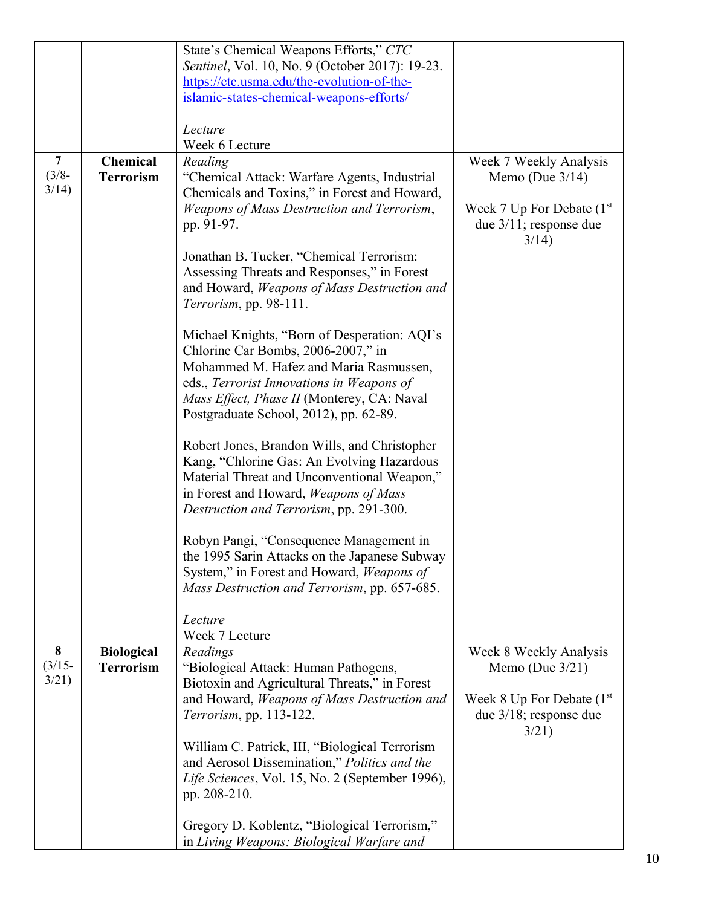|                |                   | State's Chemical Weapons Efforts," CTC                                                     |                             |
|----------------|-------------------|--------------------------------------------------------------------------------------------|-----------------------------|
|                |                   | Sentinel, Vol. 10, No. 9 (October 2017): 19-23.                                            |                             |
|                |                   | https://ctc.usma.edu/the-evolution-of-the-                                                 |                             |
|                |                   | islamic-states-chemical-weapons-efforts/                                                   |                             |
|                |                   |                                                                                            |                             |
|                |                   | Lecture                                                                                    |                             |
|                |                   | Week 6 Lecture                                                                             |                             |
| $\overline{7}$ | <b>Chemical</b>   | Reading                                                                                    | Week 7 Weekly Analysis      |
| $(3/8 - )$     | <b>Terrorism</b>  | "Chemical Attack: Warfare Agents, Industrial                                               | Memo (Due $3/14$ )          |
| 3/14)          |                   | Chemicals and Toxins," in Forest and Howard,                                               |                             |
|                |                   | Weapons of Mass Destruction and Terrorism,                                                 | Week 7 Up For Debate $(1st$ |
|                |                   | pp. 91-97.                                                                                 | due $3/11$ ; response due   |
|                |                   |                                                                                            | 3/14)                       |
|                |                   | Jonathan B. Tucker, "Chemical Terrorism:                                                   |                             |
|                |                   | Assessing Threats and Responses," in Forest                                                |                             |
|                |                   | and Howard, Weapons of Mass Destruction and                                                |                             |
|                |                   | Terrorism, pp. 98-111.                                                                     |                             |
|                |                   | Michael Knights, "Born of Desperation: AQI's                                               |                             |
|                |                   | Chlorine Car Bombs, 2006-2007," in                                                         |                             |
|                |                   | Mohammed M. Hafez and Maria Rasmussen,                                                     |                             |
|                |                   | eds., Terrorist Innovations in Weapons of                                                  |                             |
|                |                   | Mass Effect, Phase II (Monterey, CA: Naval                                                 |                             |
|                |                   | Postgraduate School, 2012), pp. 62-89.                                                     |                             |
|                |                   |                                                                                            |                             |
|                |                   | Robert Jones, Brandon Wills, and Christopher<br>Kang, "Chlorine Gas: An Evolving Hazardous |                             |
|                |                   | Material Threat and Unconventional Weapon,"                                                |                             |
|                |                   | in Forest and Howard, Weapons of Mass                                                      |                             |
|                |                   | Destruction and Terrorism, pp. 291-300.                                                    |                             |
|                |                   |                                                                                            |                             |
|                |                   | Robyn Pangi, "Consequence Management in                                                    |                             |
|                |                   | the 1995 Sarin Attacks on the Japanese Subway                                              |                             |
|                |                   | System," in Forest and Howard, Weapons of                                                  |                             |
|                |                   | Mass Destruction and Terrorism, pp. 657-685.                                               |                             |
|                |                   |                                                                                            |                             |
|                |                   | Lecture<br>Week 7 Lecture                                                                  |                             |
| 8              | <b>Biological</b> | Readings                                                                                   | Week 8 Weekly Analysis      |
| $(3/15 -$      | <b>Terrorism</b>  | "Biological Attack: Human Pathogens,                                                       | Memo (Due $3/21$ )          |
| 3/21)          |                   | Biotoxin and Agricultural Threats," in Forest                                              |                             |
|                |                   | and Howard, Weapons of Mass Destruction and                                                | Week 8 Up For Debate $(1st$ |
|                |                   | Terrorism, pp. 113-122.                                                                    | due $3/18$ ; response due   |
|                |                   |                                                                                            | 3/21)                       |
|                |                   | William C. Patrick, III, "Biological Terrorism                                             |                             |
|                |                   | and Aerosol Dissemination," Politics and the                                               |                             |
|                |                   | Life Sciences, Vol. 15, No. 2 (September 1996),                                            |                             |
|                |                   | pp. 208-210.                                                                               |                             |
|                |                   |                                                                                            |                             |
|                |                   | Gregory D. Koblentz, "Biological Terrorism,"                                               |                             |
|                |                   | in Living Weapons: Biological Warfare and                                                  |                             |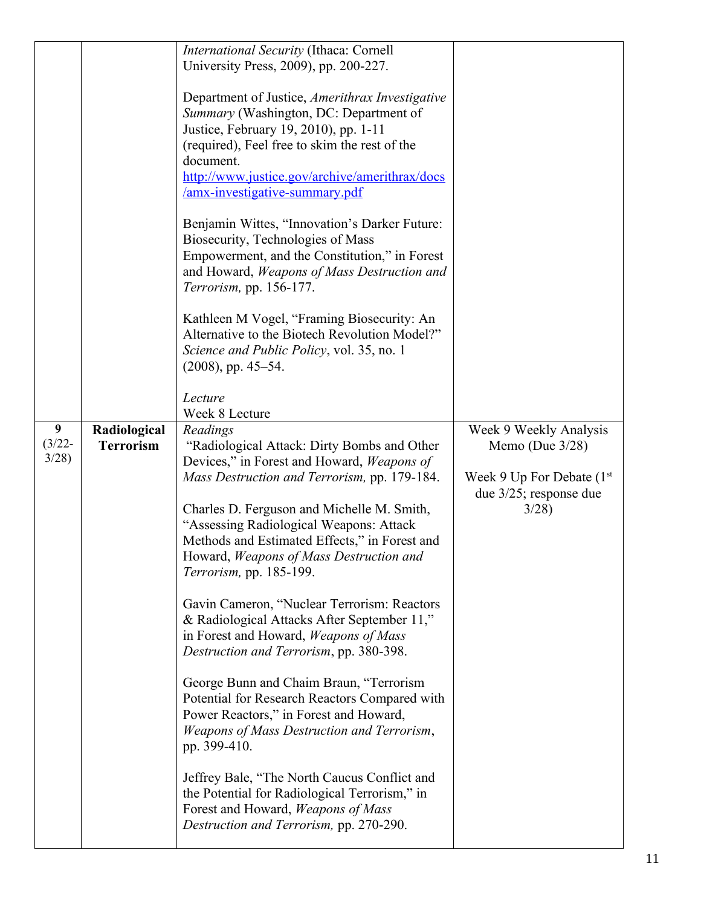|                                                            | International Security (Ithaca: Cornell<br>University Press, 2009), pp. 200-227.<br>Department of Justice, Amerithrax Investigative<br>Summary (Washington, DC: Department of<br>Justice, February 19, 2010), pp. 1-11<br>(required), Feel free to skim the rest of the<br>document.<br>http://www.justice.gov/archive/amerithrax/docs<br><u>/amx-investigative-summary.pdf</u><br>Benjamin Wittes, "Innovation's Darker Future:<br>Biosecurity, Technologies of Mass<br>Empowerment, and the Constitution," in Forest<br>and Howard, Weapons of Mass Destruction and<br>Terrorism, pp. 156-177.<br>Kathleen M Vogel, "Framing Biosecurity: An<br>Alternative to the Biotech Revolution Model?"<br>Science and Public Policy, vol. 35, no. 1<br>$(2008)$ , pp. 45–54.<br>Lecture                                                                                                                                                                                        |                                                                                                                  |
|------------------------------------------------------------|-------------------------------------------------------------------------------------------------------------------------------------------------------------------------------------------------------------------------------------------------------------------------------------------------------------------------------------------------------------------------------------------------------------------------------------------------------------------------------------------------------------------------------------------------------------------------------------------------------------------------------------------------------------------------------------------------------------------------------------------------------------------------------------------------------------------------------------------------------------------------------------------------------------------------------------------------------------------------|------------------------------------------------------------------------------------------------------------------|
| 9<br>Radiological<br>$(3/22 -$<br><b>Terrorism</b><br>3/28 | Week 8 Lecture<br>Readings<br>"Radiological Attack: Dirty Bombs and Other<br>Devices," in Forest and Howard, Weapons of<br>Mass Destruction and Terrorism, pp. 179-184.<br>Charles D. Ferguson and Michelle M. Smith,<br>"Assessing Radiological Weapons: Attack<br>Methods and Estimated Effects," in Forest and<br>Howard, Weapons of Mass Destruction and<br><i>Terrorism</i> , pp. 185-199.<br>Gavin Cameron, "Nuclear Terrorism: Reactors<br>& Radiological Attacks After September 11,"<br>in Forest and Howard, Weapons of Mass<br>Destruction and Terrorism, pp. 380-398.<br>George Bunn and Chaim Braun, "Terrorism<br>Potential for Research Reactors Compared with<br>Power Reactors," in Forest and Howard,<br>Weapons of Mass Destruction and Terrorism,<br>pp. 399-410.<br>Jeffrey Bale, "The North Caucus Conflict and<br>the Potential for Radiological Terrorism," in<br>Forest and Howard, Weapons of Mass<br>Destruction and Terrorism, pp. 270-290. | Week 9 Weekly Analysis<br>Memo (Due $3/28$ )<br>Week 9 Up For Debate $(1st$<br>due $3/25$ ; response due<br>3/28 |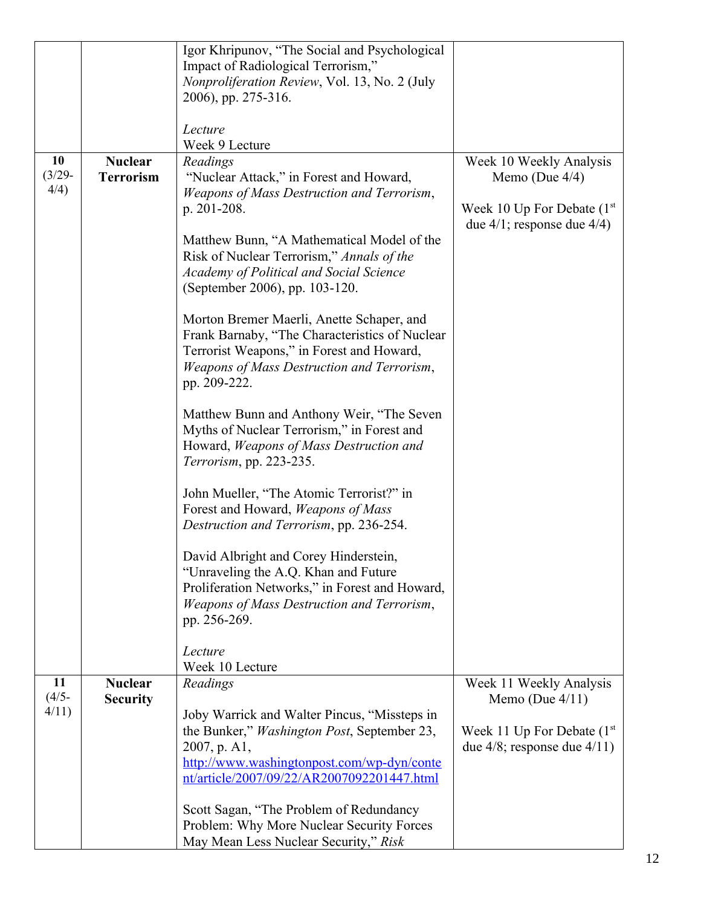|                 |                  | Igor Khripunov, "The Social and Psychological       |                                   |
|-----------------|------------------|-----------------------------------------------------|-----------------------------------|
|                 |                  | Impact of Radiological Terrorism,"                  |                                   |
|                 |                  | Nonproliferation Review, Vol. 13, No. 2 (July       |                                   |
|                 |                  | 2006), pp. 275-316.                                 |                                   |
|                 |                  |                                                     |                                   |
|                 |                  | Lecture                                             |                                   |
|                 |                  | Week 9 Lecture                                      |                                   |
|                 |                  |                                                     |                                   |
| 10<br>$(3/29 -$ | <b>Nuclear</b>   | Readings                                            | Week 10 Weekly Analysis           |
| 4/4)            | <b>Terrorism</b> | "Nuclear Attack," in Forest and Howard,             | Memo (Due $4/4$ )                 |
|                 |                  | Weapons of Mass Destruction and Terrorism,          |                                   |
|                 |                  | p. 201-208.                                         | Week 10 Up For Debate $(1st$      |
|                 |                  |                                                     | due $4/1$ ; response due $4/4$ )  |
|                 |                  | Matthew Bunn, "A Mathematical Model of the          |                                   |
|                 |                  | Risk of Nuclear Terrorism," Annals of the           |                                   |
|                 |                  | Academy of Political and Social Science             |                                   |
|                 |                  | (September 2006), pp. 103-120.                      |                                   |
|                 |                  |                                                     |                                   |
|                 |                  | Morton Bremer Maerli, Anette Schaper, and           |                                   |
|                 |                  | Frank Barnaby, "The Characteristics of Nuclear      |                                   |
|                 |                  | Terrorist Weapons," in Forest and Howard,           |                                   |
|                 |                  | Weapons of Mass Destruction and Terrorism,          |                                   |
|                 |                  | pp. 209-222.                                        |                                   |
|                 |                  | Matthew Bunn and Anthony Weir, "The Seven           |                                   |
|                 |                  |                                                     |                                   |
|                 |                  | Myths of Nuclear Terrorism," in Forest and          |                                   |
|                 |                  | Howard, Weapons of Mass Destruction and             |                                   |
|                 |                  | Terrorism, pp. 223-235.                             |                                   |
|                 |                  | John Mueller, "The Atomic Terrorist?" in            |                                   |
|                 |                  | Forest and Howard, Weapons of Mass                  |                                   |
|                 |                  | Destruction and Terrorism, pp. 236-254.             |                                   |
|                 |                  |                                                     |                                   |
|                 |                  | David Albright and Corey Hinderstein,               |                                   |
|                 |                  | "Unraveling the A.Q. Khan and Future                |                                   |
|                 |                  | Proliferation Networks," in Forest and Howard,      |                                   |
|                 |                  | Weapons of Mass Destruction and Terrorism,          |                                   |
|                 |                  | pp. 256-269.                                        |                                   |
|                 |                  |                                                     |                                   |
|                 |                  | Lecture                                             |                                   |
|                 |                  | Week 10 Lecture                                     |                                   |
| 11              | <b>Nuclear</b>   | Readings                                            | Week 11 Weekly Analysis           |
| $(4/5 -$        | <b>Security</b>  |                                                     | Memo (Due $4/11$ )                |
| 4/11            |                  | Joby Warrick and Walter Pincus, "Missteps in        |                                   |
|                 |                  | the Bunker," <i>Washington Post</i> , September 23, | Week 11 Up For Debate $(1st$      |
|                 |                  | $2007$ , p. A1,                                     | due $4/8$ ; response due $4/11$ ) |
|                 |                  | http://www.washingtonpost.com/wp-dyn/conte          |                                   |
|                 |                  | nt/article/2007/09/22/AR2007092201447.html          |                                   |
|                 |                  |                                                     |                                   |
|                 |                  | Scott Sagan, "The Problem of Redundancy             |                                   |
|                 |                  | Problem: Why More Nuclear Security Forces           |                                   |
|                 |                  | May Mean Less Nuclear Security," Risk               |                                   |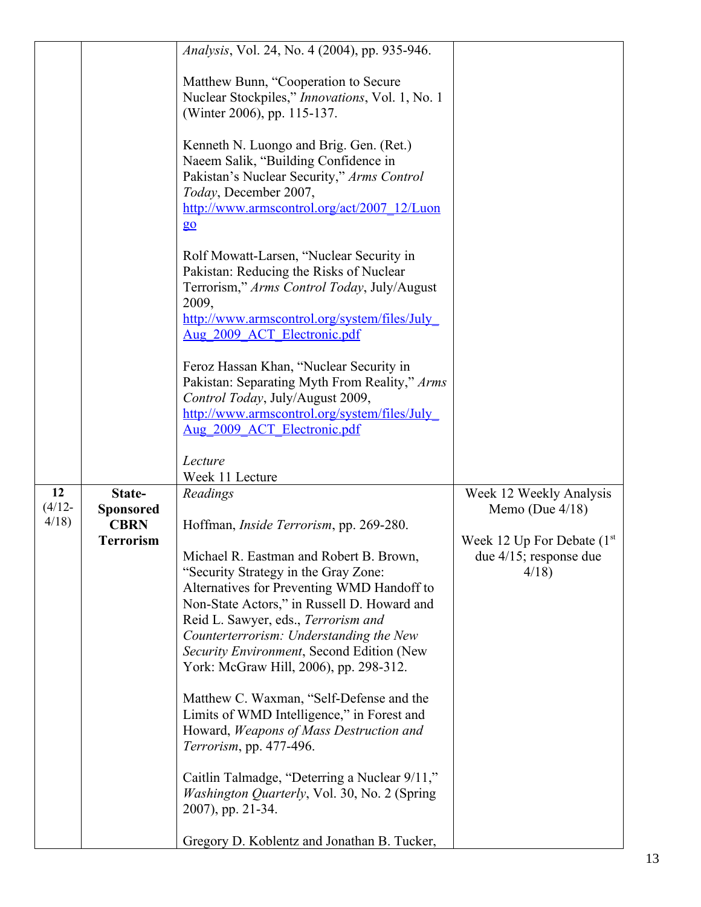|                         |                                           | Analysis, Vol. 24, No. 4 (2004), pp. 935-946.                                                                                                                                                                                                                                                                                                         |                                                                   |
|-------------------------|-------------------------------------------|-------------------------------------------------------------------------------------------------------------------------------------------------------------------------------------------------------------------------------------------------------------------------------------------------------------------------------------------------------|-------------------------------------------------------------------|
|                         |                                           | Matthew Bunn, "Cooperation to Secure<br>Nuclear Stockpiles," Innovations, Vol. 1, No. 1<br>(Winter 2006), pp. 115-137.                                                                                                                                                                                                                                |                                                                   |
|                         |                                           | Kenneth N. Luongo and Brig. Gen. (Ret.)<br>Naeem Salik, "Building Confidence in<br>Pakistan's Nuclear Security," Arms Control<br>Today, December 2007,<br>http://www.armscontrol.org/act/2007 12/Luon<br>$\underline{g}\underline{o}$                                                                                                                 |                                                                   |
|                         |                                           | Rolf Mowatt-Larsen, "Nuclear Security in<br>Pakistan: Reducing the Risks of Nuclear<br>Terrorism," Arms Control Today, July/August<br>2009,<br>http://www.armscontrol.org/system/files/July<br>Aug 2009 ACT Electronic.pdf                                                                                                                            |                                                                   |
|                         |                                           | Feroz Hassan Khan, "Nuclear Security in<br>Pakistan: Separating Myth From Reality," Arms<br>Control Today, July/August 2009,<br>http://www.armscontrol.org/system/files/July_<br>Aug 2009 ACT Electronic.pdf                                                                                                                                          |                                                                   |
|                         |                                           | Lecture<br>Week 11 Lecture                                                                                                                                                                                                                                                                                                                            |                                                                   |
| 12<br>$(4/12 -$<br>4/18 | State-<br><b>Sponsored</b><br><b>CBRN</b> | Readings<br>Hoffman, <i>Inside Terrorism</i> , pp. 269-280.                                                                                                                                                                                                                                                                                           | Week 12 Weekly Analysis<br>Memo (Due $4/18$ )                     |
|                         | <b>Terrorism</b>                          | Michael R. Eastman and Robert B. Brown,<br>"Security Strategy in the Gray Zone:<br>Alternatives for Preventing WMD Handoff to<br>Non-State Actors," in Russell D. Howard and<br>Reid L. Sawyer, eds., Terrorism and<br>Counterterrorism: Understanding the New<br>Security Environment, Second Edition (New<br>York: McGraw Hill, 2006), pp. 298-312. | Week 12 Up For Debate $(1st$<br>due $4/15$ ; response due<br>4/18 |
|                         |                                           | Matthew C. Waxman, "Self-Defense and the<br>Limits of WMD Intelligence," in Forest and<br>Howard, Weapons of Mass Destruction and<br>Terrorism, pp. 477-496.                                                                                                                                                                                          |                                                                   |
|                         |                                           | Caitlin Talmadge, "Deterring a Nuclear 9/11,"<br>Washington Quarterly, Vol. 30, No. 2 (Spring<br>2007), pp. 21-34.                                                                                                                                                                                                                                    |                                                                   |
|                         |                                           | Gregory D. Koblentz and Jonathan B. Tucker,                                                                                                                                                                                                                                                                                                           |                                                                   |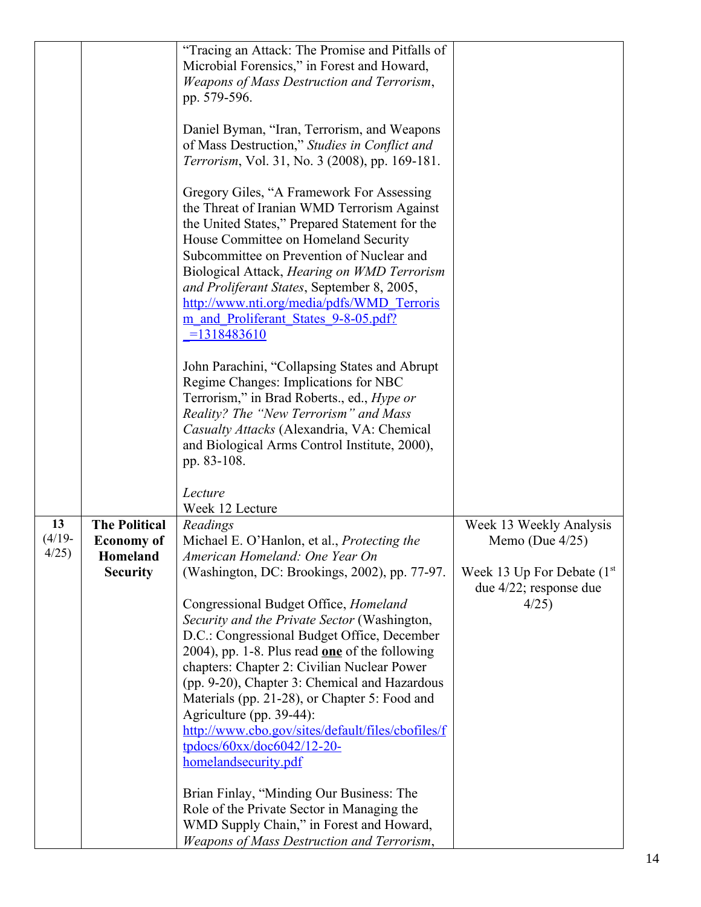|           |                      | "Tracing an Attack: The Promise and Pitfalls of    |                              |
|-----------|----------------------|----------------------------------------------------|------------------------------|
|           |                      | Microbial Forensics," in Forest and Howard,        |                              |
|           |                      | Weapons of Mass Destruction and Terrorism,         |                              |
|           |                      | pp. 579-596.                                       |                              |
|           |                      |                                                    |                              |
|           |                      | Daniel Byman, "Iran, Terrorism, and Weapons        |                              |
|           |                      | of Mass Destruction," Studies in Conflict and      |                              |
|           |                      | Terrorism, Vol. 31, No. 3 (2008), pp. 169-181.     |                              |
|           |                      |                                                    |                              |
|           |                      | Gregory Giles, "A Framework For Assessing          |                              |
|           |                      | the Threat of Iranian WMD Terrorism Against        |                              |
|           |                      | the United States," Prepared Statement for the     |                              |
|           |                      | House Committee on Homeland Security               |                              |
|           |                      | Subcommittee on Prevention of Nuclear and          |                              |
|           |                      |                                                    |                              |
|           |                      | Biological Attack, Hearing on WMD Terrorism        |                              |
|           |                      | and Proliferant States, September 8, 2005,         |                              |
|           |                      | http://www.nti.org/media/pdfs/WMD Terroris         |                              |
|           |                      | m and Proliferant States 9-8-05.pdf?               |                              |
|           |                      | $= 1318483610$                                     |                              |
|           |                      |                                                    |                              |
|           |                      | John Parachini, "Collapsing States and Abrupt      |                              |
|           |                      | Regime Changes: Implications for NBC               |                              |
|           |                      | Terrorism," in Brad Roberts., ed., <i>Hype or</i>  |                              |
|           |                      | Reality? The "New Terrorism" and Mass              |                              |
|           |                      | Casualty Attacks (Alexandria, VA: Chemical         |                              |
|           |                      | and Biological Arms Control Institute, 2000),      |                              |
|           |                      | pp. 83-108.                                        |                              |
|           |                      |                                                    |                              |
|           |                      | Lecture                                            |                              |
|           |                      | Week 12 Lecture                                    |                              |
| 13        | <b>The Political</b> | Readings                                           | Week 13 Weekly Analysis      |
| $(4/19 -$ | <b>Economy of</b>    | Michael E. O'Hanlon, et al., <i>Protecting the</i> | Memo (Due $4/25$ )           |
| 4/25      | <b>Homeland</b>      | American Homeland: One Year On                     |                              |
|           | <b>Security</b>      | (Washington, DC: Brookings, 2002), pp. 77-97.      | Week 13 Up For Debate $(1st$ |
|           |                      |                                                    | due $4/22$ ; response due    |
|           |                      | Congressional Budget Office, Homeland              | 4/25                         |
|           |                      | Security and the Private Sector (Washington,       |                              |
|           |                      | D.C.: Congressional Budget Office, December        |                              |
|           |                      | 2004), pp. 1-8. Plus read $one$ of the following   |                              |
|           |                      | chapters: Chapter 2: Civilian Nuclear Power        |                              |
|           |                      | (pp. 9-20), Chapter 3: Chemical and Hazardous      |                              |
|           |                      |                                                    |                              |
|           |                      | Materials (pp. 21-28), or Chapter 5: Food and      |                              |
|           |                      | Agriculture (pp. 39-44):                           |                              |
|           |                      | http://www.cbo.gov/sites/default/files/cbofiles/f  |                              |
|           |                      | tpdocs/60xx/doc6042/12-20-                         |                              |
|           |                      | homelandsecurity.pdf                               |                              |
|           |                      | Brian Finlay, "Minding Our Business: The           |                              |
|           |                      | Role of the Private Sector in Managing the         |                              |
|           |                      | WMD Supply Chain," in Forest and Howard,           |                              |
|           |                      | Weapons of Mass Destruction and Terrorism,         |                              |
|           |                      |                                                    |                              |